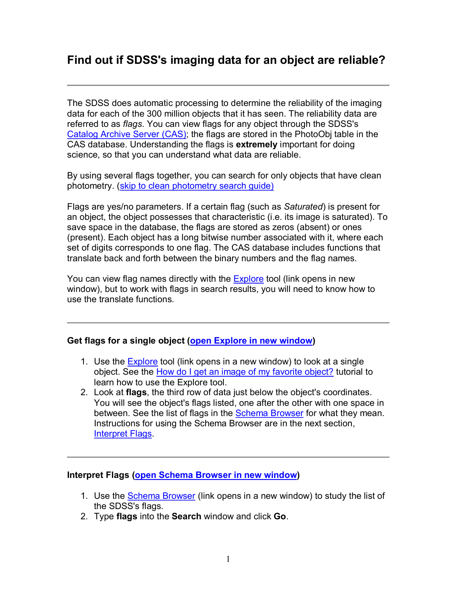# **Find out if SDSS's imaging data for an object are reliable?**

The SDSS does automatic processing to determine the reliability of the imaging data for each of the 300 million objects that it has seen. The reliability data are referred to as *flags*. You can view flags for any object through the SDSS's Catalog Archive Server (CAS); the flags are stored in the PhotoObj table in the CAS database. Understanding the flags is **extremely** important for doing science, so that you can understand what data are reliable.

By using several flags together, you can search for only objects that have clean photometry. (skip to clean photometry search guide)

Flags are yes/no parameters. If a certain flag (such as *Saturated*) is present for an object, the object possesses that characteristic (i.e. its image is saturated). To save space in the database, the flags are stored as zeros (absent) or ones (present). Each object has a long bitwise number associated with it, where each set of digits corresponds to one flag. The CAS database includes functions that translate back and forth between the binary numbers and the flag names.

You can view flag names directly with the Explore tool (link opens in new window), but to work with flags in search results, you will need to know how to use the translate functions.

## **Get flags for a single object (open Explore in new window)**

- 1. Use the Explore tool (link opens in a new window) to look at a single object. See the How do I get an image of my favorite object? tutorial to learn how to use the Explore tool.
- 2. Look at **flags**, the third row of data just below the object's coordinates. You will see the object's flags listed, one after the other with one space in between. See the list of flags in the Schema Browser for what they mean. Instructions for using the Schema Browser are in the next section, Interpret Flags.

### **Interpret Flags (open Schema Browser in new window)**

- 1. Use the Schema Browser (link opens in a new window) to study the list of the SDSS's flags.
- 2. Type **flags** into the **Search** window and click **Go**.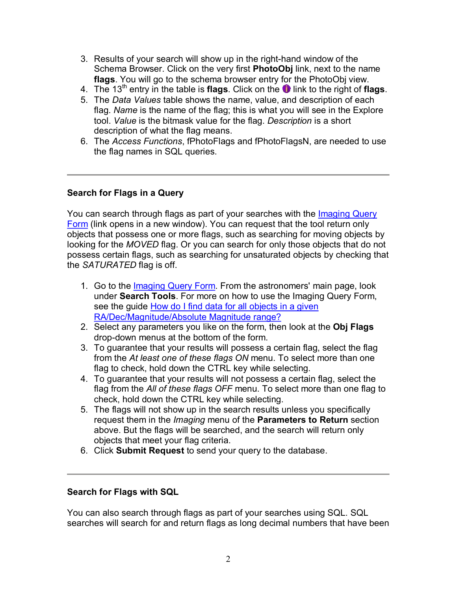- 3. Results of your search will show up in the right-hand window of the Schema Browser. Click on the very first **PhotoObj** link, next to the name **flags**. You will go to the schema browser entry for the PhotoObj view.
- 4. The 13<sup>th</sup> entry in the table is **flags**. Click on the **O** link to the right of **flags**.
- 5. The *Data Values* table shows the name, value, and description of each flag. *Name* is the name of the flag; this is what you will see in the Explore tool. *Value* is the bitmask value for the flag. *Description* is a short description of what the flag means.
- 6. The *Access Functions*, fPhotoFlags and fPhotoFlagsN, are needed to use the flag names in SQL queries.

# **Search for Flags in a Query**

You can search through flags as part of your searches with the Imaging Query Form (link opens in a new window). You can request that the tool return only objects that possess one or more flags, such as searching for moving objects by looking for the *MOVED* flag. Or you can search for only those objects that do not possess certain flags, such as searching for unsaturated objects by checking that the *SATURATED* flag is off.

- 1. Go to the Imaging Query Form. From the astronomers' main page, look under **Search Tools**. For more on how to use the Imaging Query Form, see the quide How do I find data for all objects in a given RA/Dec/Magnitude/Absolute Magnitude range?
- 2. Select any parameters you like on the form, then look at the **Obj Flags** drop-down menus at the bottom of the form.
- 3. To guarantee that your results will possess a certain flag, select the flag from the *At least one of these flags ON* menu. To select more than one flag to check, hold down the CTRL key while selecting.
- 4. To guarantee that your results will not possess a certain flag, select the flag from the *All of these flags OFF* menu. To select more than one flag to check, hold down the CTRL key while selecting.
- 5. The flags will not show up in the search results unless you specifically request them in the *Imaging* menu of the **Parameters to Return** section above. But the flags will be searched, and the search will return only objects that meet your flag criteria.
- 6. Click **Submit Request** to send your query to the database.

## **Search for Flags with SQL**

You can also search through flags as part of your searches using SQL. SQL searches will search for and return flags as long decimal numbers that have been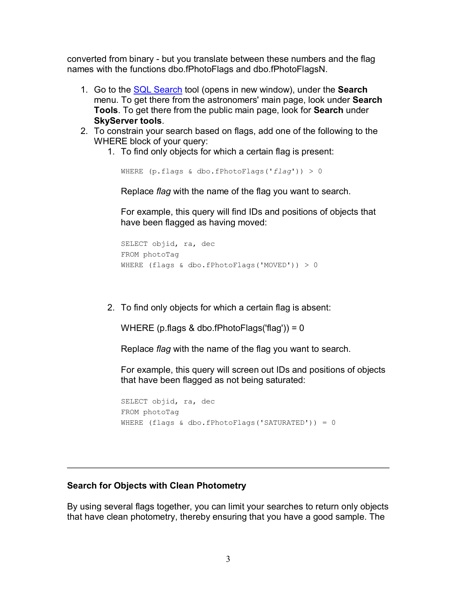converted from binary - but you translate between these numbers and the flag names with the functions dbo.fPhotoFlags and dbo.fPhotoFlagsN.

- 1. Go to the SQL Search tool (opens in new window), under the **Search** menu. To get there from the astronomers' main page, look under **Search Tools**. To get there from the public main page, look for **Search** under **SkyServer tools**.
- 2. To constrain your search based on flags, add one of the following to the WHERE block of your query:
	- 1. To find only objects for which a certain flag is present:

WHERE (p.flags & dbo.fPhotoFlags('*flag*')) > 0

Replace *flag* with the name of the flag you want to search.

For example, this query will find IDs and positions of objects that have been flagged as having moved:

```
SELECT objid, ra, dec 
FROM photoTag 
WHERE (flags & dbo.fPhotoFlags('MOVED')) > 0
```
2. To find only objects for which a certain flag is absent:

WHERE (p.flags & dbo.fPhotoFlags('flag')) = 0

Replace *flag* with the name of the flag you want to search.

For example, this query will screen out IDs and positions of objects that have been flagged as not being saturated:

```
SELECT objid, ra, dec 
FROM photoTag 
WHERE (flags & dbo.fPhotoFlags('SATURATED')) = 0
```
### **Search for Objects with Clean Photometry**

By using several flags together, you can limit your searches to return only objects that have clean photometry, thereby ensuring that you have a good sample. The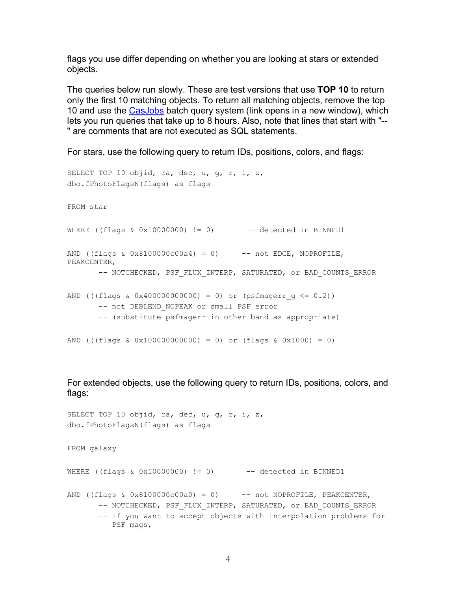flags you use differ depending on whether you are looking at stars or extended objects.

The queries below run slowly. These are test versions that use **TOP 10** to return only the first 10 matching objects. To return all matching objects, remove the top 10 and use the CasJobs batch query system (link opens in a new window), which lets you run queries that take up to 8 hours. Also, note that lines that start with " " are comments that are not executed as SQL statements.

For stars, use the following query to return IDs, positions, colors, and flags:

```
SELECT TOP 10 objid, ra, dec, u, q, r, i, z,
dbo.fPhotoFlagsN(flags) as flags
FROM star 
WHERE ((flags \& 0x10000000) != 0) -- detected in BINNED1
AND ((flags & 0x8100000c00a4) = 0) -- not EDGE, NOPROFILE,
PEAKCENTER, 
      -- NOTCHECKED, PSF_FLUX_INTERP, SATURATED, or BAD_COUNTS_ERROR
AND (((flags & 0x400000000000) = 0) or (psfmagerr q \le 0.2))
       -- not DEBLEND NOPEAK or small PSF error
       -- (substitute psfmagerr in other band as appropriate)
AND (((flags & 0x100000000000) = 0) or (flags & 0x1000) = 0)
```
For extended objects, use the following query to return IDs, positions, colors, and flags:

```
SELECT TOP 10 objid, ra, dec, u, g, r, i, z,
dbo.fPhotoFlagsN(flags) as flags
FROM galaxy 
WHERE ((flags & 0x10000000) != 0) -- detected in BINNED1
AND ((flags & 0 \times 8100000 \text{0}) = 0) -- not NOPROFILE, PEAKCENTER,
       -- NOTCHECKED, PSF FLUX INTERP, SATURATED, or BAD COUNTS ERROR
       -- if you want to accept objects with interpolation problems for
         PSF mags,
```